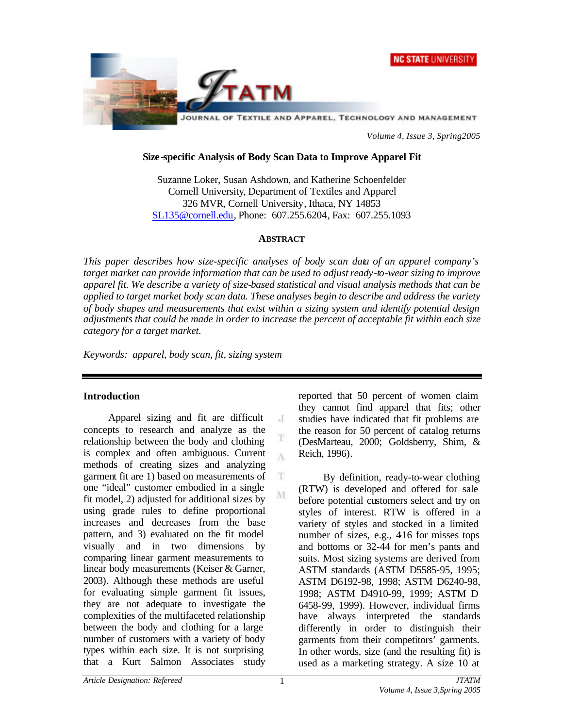



*Volume 4, Issue 3, Spring2005*

#### **Size-specific Analysis of Body Scan Data to Improve Apparel Fit**

Suzanne Loker, Susan Ashdown, and Katherine Schoenfelder Cornell University, Department of Textiles and Apparel 326 MVR, Cornell University, Ithaca, NY 14853 SL135@cornell.edu, Phone: 607.255.6204, Fax: 607.255.1093

#### **ABSTRACT**

*This paper describes how size-specific analyses of body scan data of an apparel company's target market can provide information that can be used to adjust ready-to-wear sizing to improve apparel fit. We describe a variety of size-based statistical and visual analysis methods that can be applied to target market body scan data. These analyses begin to describe and address the variety of body shapes and measurements that exist within a sizing system and identify potential design adjustments that could be made in order to increase the percent of acceptable fit within each size category for a target market.*

 $J$ 

T A

T.

M

*Keywords: apparel, body scan, fit, sizing system*

#### **Introduction**

Apparel sizing and fit are difficult concepts to research and analyze as the relationship between the body and clothing is complex and often ambiguous. Current methods of creating sizes and analyzing garment fit are 1) based on measurements of one "ideal" customer embodied in a single fit model, 2) adjusted for additional sizes by using grade rules to define proportional increases and decreases from the base pattern, and 3) evaluated on the fit model visually and in two dimensions by comparing linear garment measurements to linear body measurements (Keiser & Garner, 2003). Although these methods are useful for evaluating simple garment fit issues, they are not adequate to investigate the complexities of the multifaceted relationship between the body and clothing for a large number of customers with a variety of body types within each size. It is not surprising that a Kurt Salmon Associates study

reported that 50 percent of women claim they cannot find apparel that fits; other studies have indicated that fit problems are the reason for 50 percent of catalog returns (DesMarteau, 2000; Goldsberry, Shim, & Reich, 1996).

By definition, ready-to-wear clothing (RTW) is developed and offered for sale before potential customers select and try on styles of interest. RTW is offered in a variety of styles and stocked in a limited number of sizes, e.g., 416 for misses tops and bottoms or 32-44 for men's pants and suits. Most sizing systems are derived from ASTM standards (ASTM D5585-95, 1995; ASTM D6192-98, 1998; ASTM D6240-98, 1998; ASTM D4910-99, 1999; ASTM D 6458-99, 1999). However, individual firms have always interpreted the standards differently in order to distinguish their garments from their competitors' garments. In other words, size (and the resulting fit) is used as a marketing strategy. A size 10 at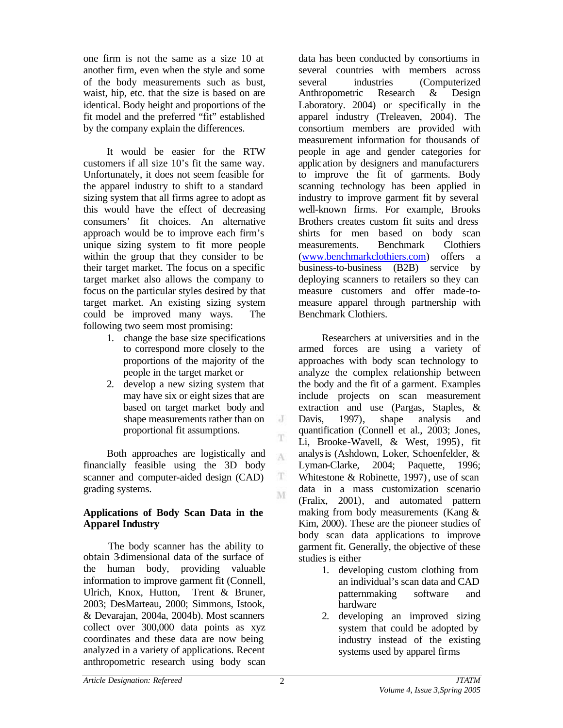one firm is not the same as a size 10 at another firm, even when the style and some of the body measurements such as bust, waist, hip, etc. that the size is based on are identical. Body height and proportions of the fit model and the preferred "fit" established by the company explain the differences.

It would be easier for the RTW customers if all size 10's fit the same way. Unfortunately, it does not seem feasible for the apparel industry to shift to a standard sizing system that all firms agree to adopt as this would have the effect of decreasing consumers' fit choices. An alternative approach would be to improve each firm's unique sizing system to fit more people within the group that they consider to be their target market. The focus on a specific target market also allows the company to focus on the particular styles desired by that target market. An existing sizing system could be improved many ways. The following two seem most promising:

- 1. change the base size specifications to correspond more closely to the proportions of the majority of the people in the target market or
- 2. develop a new sizing system that may have six or eight sizes that are based on target market body and shape measurements rather than on proportional fit assumptions.

Both approaches are logistically and financially feasible using the 3D body scanner and computer-aided design (CAD) grading systems.

## **Applications of Body Scan Data in the Apparel Industry**

The body scanner has the ability to obtain 3-dimensional data of the surface of the human body, providing valuable information to improve garment fit (Connell, Ulrich, Knox, Hutton, Trent & Bruner, 2003; DesMarteau, 2000; Simmons, Istook, & Devarajan, 2004a, 2004b). Most scanners collect over 300,000 data points as xyz coordinates and these data are now being analyzed in a variety of applications. Recent anthropometric research using body scan data has been conducted by consortiums in several countries with members across several industries (Computerized Anthropometric Research & Design Laboratory. 2004) or specifically in the apparel industry (Treleaven, 2004). The consortium members are provided with measurement information for thousands of people in age and gender categories for application by designers and manufacturers to improve the fit of garments. Body scanning technology has been applied in industry to improve garment fit by several well-known firms. For example, Brooks Brothers creates custom fit suits and dress shirts for men based on body scan measurements. Benchmark Clothiers (www.benchmarkclothiers.com) offers a business-to-business (B2B) service by deploying scanners to retailers so they can measure customers and offer made-tomeasure apparel through partnership with Benchmark Clothiers.

Researchers at universities and in the armed forces are using a variety of approaches with body scan technology to analyze the complex relationship between the body and the fit of a garment. Examples include projects on scan measurement extraction and use (Pargas, Staples, & Davis, 1997), shape analysis and quantification (Connell et al., 2003; Jones, Li, Brooke-Wavell, & West, 1995), fit analysis (Ashdown, Loker, Schoenfelder, & Lyman-Clarke, 2004; Paquette, 1996; Whitestone & Robinette, 1997), use of scan data in a mass customization scenario (Fralix, 2001), and automated pattern making from body measurements (Kang & Kim, 2000). These are the pioneer studies of body scan data applications to improve garment fit. Generally, the objective of these studies is either

- 1. developing custom clothing from an individual's scan data and CAD patternmaking software and hardware
- 2. developing an improved sizing system that could be adopted by industry instead of the existing systems used by apparel firms

J

T

A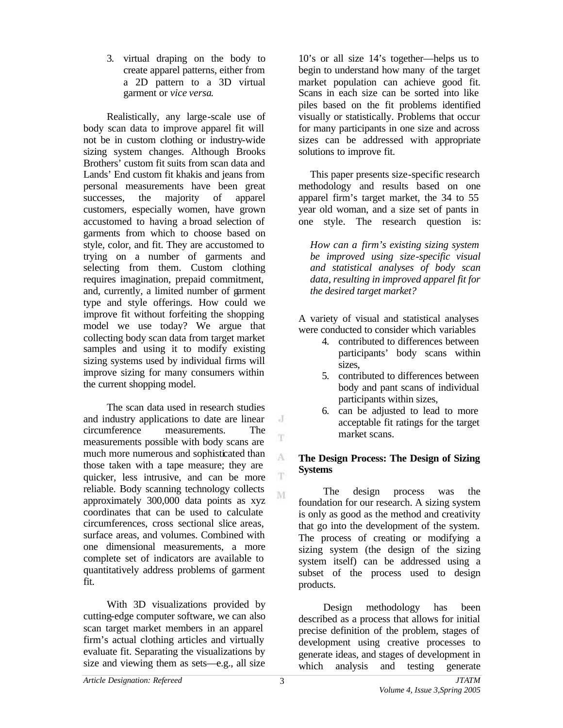3. virtual draping on the body to create apparel patterns, either from a 2D pattern to a 3D virtual garment or *vice versa*.

Realistically, any large-scale use of body scan data to improve apparel fit will not be in custom clothing or industry-wide sizing system changes. Although Brooks Brothers' custom fit suits from scan data and Lands' End custom fit khakis and jeans from personal measurements have been great successes, the majority of apparel customers, especially women, have grown accustomed to having a broad selection of garments from which to choose based on style, color, and fit. They are accustomed to trying on a number of garments and selecting from them. Custom clothing requires imagination, prepaid commitment, and, currently, a limited number of garment type and style offerings. How could we improve fit without forfeiting the shopping model we use today? We argue that collecting body scan data from target market samples and using it to modify existing sizing systems used by individual firms will improve sizing for many consumers within the current shopping model.

The scan data used in research studies and industry applications to date are linear circumference measurements. The measurements possible with body scans are much more numerous and sophisticated than those taken with a tape measure; they are quicker, less intrusive, and can be more reliable. Body scanning technology collects approximately 300,000 data points as xyz coordinates that can be used to calculate circumferences, cross sectional slice areas, surface areas, and volumes. Combined with one dimensional measurements, a more complete set of indicators are available to quantitatively address problems of garment fit.

With 3D visualizations provided by cutting-edge computer software, we can also scan target market members in an apparel firm's actual clothing articles and virtually evaluate fit. Separating the visualizations by size and viewing them as sets—e.g., all size

10's or all size 14's together—helps us to begin to understand how many of the target market population can achieve good fit. Scans in each size can be sorted into like piles based on the fit problems identified visually or statistically. Problems that occur for many participants in one size and across sizes can be addressed with appropriate solutions to improve fit.

This paper presents size-specific research methodology and results based on one apparel firm's target market, the 34 to 55 year old woman, and a size set of pants in one style. The research question is:

*How can a firm's existing sizing system be improved using size-specific visual and statistical analyses of body scan data, resulting in improved apparel fit for the desired target market?*

A variety of visual and statistical analyses were conducted to consider which variables

- 4. contributed to differences between participants' body scans within sizes,
- 5. contributed to differences between body and pant scans of individual participants within sizes,
- 6. can be adjusted to lead to more acceptable fit ratings for the target market scans.

### **The Design Process: The Design of Sizing Systems**

The design process was the foundation for our research. A sizing system is only as good as the method and creativity that go into the development of the system. The process of creating or modifying a sizing system (the design of the sizing system itself) can be addressed using a subset of the process used to design products.

Design methodology has been described as a process that allows for initial precise definition of the problem, stages of development using creative processes to generate ideas, and stages of development in which analysis and testing generate

 $\cdot$ 

T

A

T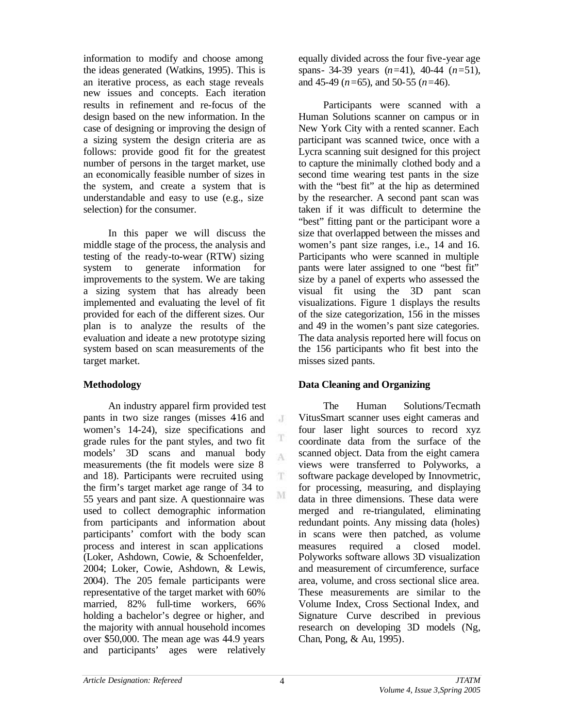information to modify and choose among the ideas generated (Watkins, 1995). This is an iterative process, as each stage reveals new issues and concepts. Each iteration results in refinement and re-focus of the design based on the new information. In the case of designing or improving the design of a sizing system the design criteria are as follows: provide good fit for the greatest number of persons in the target market, use an economically feasible number of sizes in the system, and create a system that is understandable and easy to use (e.g., size selection) for the consumer.

In this paper we will discuss the middle stage of the process, the analysis and testing of the ready-to-wear (RTW) sizing system to generate information for improvements to the system. We are taking a sizing system that has already been implemented and evaluating the level of fit provided for each of the different sizes. Our plan is to analyze the results of the evaluation and ideate a new prototype sizing system based on scan measurements of the target market.

## **Methodology**

An industry apparel firm provided test pants in two size ranges (misses 416 and women's 14-24), size specifications and grade rules for the pant styles, and two fit models' 3D scans and manual body measurements (the fit models were size 8 and 18). Participants were recruited using the firm's target market age range of 34 to 55 years and pant size. A questionnaire was used to collect demographic information from participants and information about participants' comfort with the body scan process and interest in scan applications (Loker, Ashdown, Cowie, & Schoenfelder, 2004; Loker, Cowie, Ashdown, & Lewis, 2004). The 205 female participants were representative of the target market with 60% married, 82% full-time workers, 66% holding a bachelor's degree or higher, and the majority with annual household incomes over \$50,000. The mean age was 44.9 years and participants' ages were relatively

equally divided across the four five-year age spans- 34-39 years (*n=*41), 40-44 (*n=*51), and 45-49 (*n=*65), and 50-55 (*n=*46).

Participants were scanned with a Human Solutions scanner on campus or in New York City with a rented scanner. Each participant was scanned twice, once with a Lycra scanning suit designed for this project to capture the minimally clothed body and a second time wearing test pants in the size with the "best fit" at the hip as determined by the researcher. A second pant scan was taken if it was difficult to determine the "best" fitting pant or the participant wore a size that overlapped between the misses and women's pant size ranges, i.e., 14 and 16. Participants who were scanned in multiple pants were later assigned to one "best fit" size by a panel of experts who assessed the visual fit using the 3D pant scan visualizations. Figure 1 displays the results of the size categorization, 156 in the misses and 49 in the women's pant size categories. The data analysis reported here will focus on the 156 participants who fit best into the misses sized pants.

## **Data Cleaning and Organizing**

The Human Solutions/Tecmath VitusSmart scanner uses eight cameras and four laser light sources to record xyz coordinate data from the surface of the scanned object. Data from the eight camera views were transferred to Polyworks, a software package developed by Innovmetric, for processing, measuring, and displaying data in three dimensions. These data were merged and re-triangulated, eliminating redundant points. Any missing data (holes) in scans were then patched, as volume measures required a closed model. Polyworks software allows 3D visualization and measurement of circumference, surface area, volume, and cross sectional slice area. These measurements are similar to the Volume Index, Cross Sectional Index, and Signature Curve described in previous research on developing 3D models (Ng, Chan, Pong, & Au, 1995).

J

T A

T.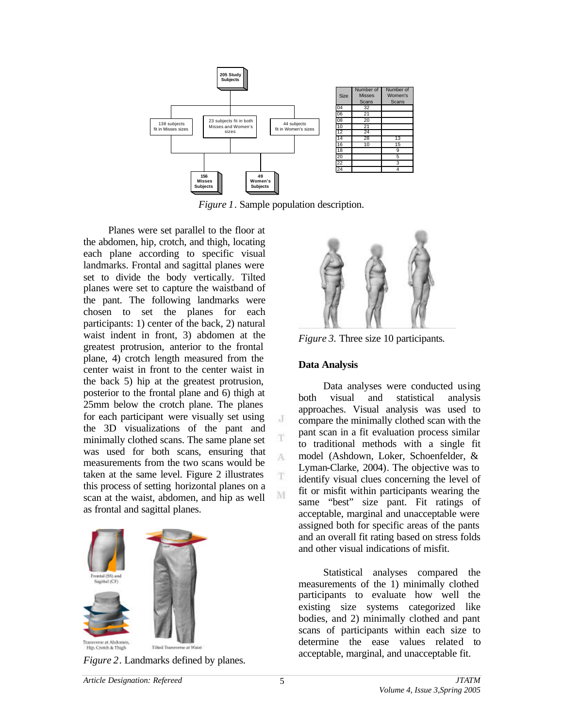

*Figure 1*. Sample population description.

 $\cdot$ 

T

A

T

M

Planes were set parallel to the floor at the abdomen, hip, crotch, and thigh, locating each plane according to specific visual landmarks. Frontal and sagittal planes were set to divide the body vertically. Tilted planes were set to capture the waistband of the pant. The following landmarks were chosen to set the planes for each participants: 1) center of the back, 2) natural waist indent in front, 3) abdomen at the greatest protrusion, anterior to the frontal plane, 4) crotch length measured from the center waist in front to the center waist in the back 5) hip at the greatest protrusion, posterior to the frontal plane and 6) thigh at 25mm below the crotch plane. The planes for each participant were visually set using the 3D visualizations of the pant and minimally clothed scans. The same plane set was used for both scans, ensuring that measurements from the two scans would be taken at the same level. Figure 2 illustrates this process of setting horizontal planes on a scan at the waist, abdomen, and hip as well as frontal and sagittal planes.



*Figure 2*. Landmarks defined by planes.



*Figure 3.* Three size 10 participants*.*

## **Data Analysis**

Data analyses were conducted using both visual and statistical analysis approaches. Visual analysis was used to compare the minimally clothed scan with the pant scan in a fit evaluation process similar to traditional methods with a single fit model (Ashdown, Loker, Schoenfelder, & Lyman-Clarke, 2004). The objective was to identify visual clues concerning the level of fit or misfit within participants wearing the same "best" size pant. Fit ratings of acceptable, marginal and unacceptable were assigned both for specific areas of the pants and an overall fit rating based on stress folds and other visual indications of misfit.

Statistical analyses compared the measurements of the 1) minimally clothed participants to evaluate how well the existing size systems categorized like bodies, and 2) minimally clothed and pant scans of participants within each size to determine the ease values related to acceptable, marginal, and unacceptable fit.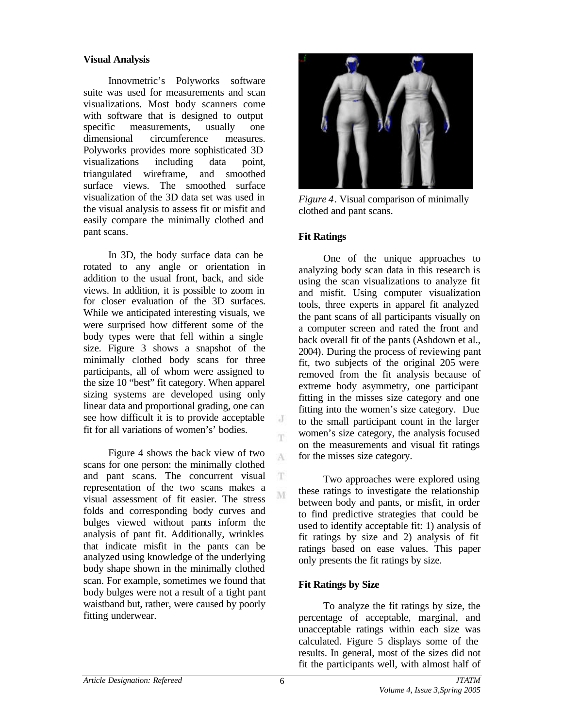### **Visual Analysis**

Innovmetric's Polyworks software suite was used for measurements and scan visualizations. Most body scanners come with software that is designed to output specific measurements, usually one dimensional circumference measures. Polyworks provides more sophisticated 3D visualizations including data point, triangulated wireframe, and smoothed surface views. The smoothed surface visualization of the 3D data set was used in the visual analysis to assess fit or misfit and easily compare the minimally clothed and pant scans.

In 3D, the body surface data can be rotated to any angle or orientation in addition to the usual front, back, and side views. In addition, it is possible to zoom in for closer evaluation of the 3D surfaces. While we anticipated interesting visuals, we were surprised how different some of the body types were that fell within a single size. Figure 3 shows a snapshot of the minimally clothed body scans for three participants, all of whom were assigned to the size 10 "best" fit category. When apparel sizing systems are developed using only linear data and proportional grading, one can see how difficult it is to provide acceptable fit for all variations of women's' bodies.

Figure 4 shows the back view of two scans for one person: the minimally clothed and pant scans. The concurrent visual representation of the two scans makes a visual assessment of fit easier. The stress folds and corresponding body curves and bulges viewed without pants inform the analysis of pant fit. Additionally, wrinkles that indicate misfit in the pants can be analyzed using knowledge of the underlying body shape shown in the minimally clothed scan. For example, sometimes we found that body bulges were not a result of a tight pant waistband but, rather, were caused by poorly fitting underwear.



*Figure 4*. Visual comparison of minimally clothed and pant scans.

## **Fit Ratings**

One of the unique approaches to analyzing body scan data in this research is using the scan visualizations to analyze fit and misfit. Using computer visualization tools, three experts in apparel fit analyzed the pant scans of all participants visually on a computer screen and rated the front and back overall fit of the pants (Ashdown et al., 2004). During the process of reviewing pant fit, two subjects of the original 205 were removed from the fit analysis because of extreme body asymmetry, one participant fitting in the misses size category and one fitting into the women's size category. Due to the small participant count in the larger women's size category, the analysis focused on the measurements and visual fit ratings for the misses size category.

Two approaches were explored using these ratings to investigate the relationship between body and pants, or misfit, in order to find predictive strategies that could be used to identify acceptable fit: 1) analysis of fit ratings by size and 2) analysis of fit ratings based on ease values. This paper only presents the fit ratings by size.

#### **Fit Ratings by Size**

To analyze the fit ratings by size, the percentage of acceptable, marginal, and unacceptable ratings within each size was calculated. Figure 5 displays some of the results. In general, most of the sizes did not fit the participants well, with almost half of

J m.

A

T. M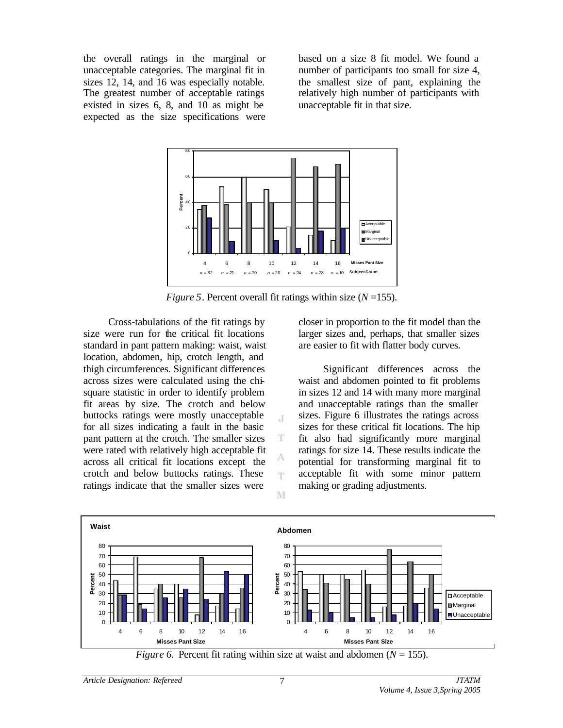the overall ratings in the marginal or unacceptable categories. The marginal fit in sizes 12, 14, and 16 was especially notable. The greatest number of acceptable ratings existed in sizes 6, 8, and 10 as might be expected as the size specifications were

based on a size 8 fit model. We found a number of participants too small for size 4, the smallest size of pant, explaining the relatively high number of participants with unacceptable fit in that size.



*Figure 5*. Percent overall fit ratings within size (*N* =155).

 $\mathcal{X}$ 

T

А m

M

Cross-tabulations of the fit ratings by size were run for the critical fit locations standard in pant pattern making: waist, waist location, abdomen, hip, crotch length, and thigh circumferences. Significant differences across sizes were calculated using the chisquare statistic in order to identify problem fit areas by size. The crotch and below buttocks ratings were mostly unacceptable for all sizes indicating a fault in the basic pant pattern at the crotch. The smaller sizes were rated with relatively high acceptable fit across all critical fit locations except the crotch and below buttocks ratings. These ratings indicate that the smaller sizes were

closer in proportion to the fit model than the larger sizes and, perhaps, that smaller sizes are easier to fit with flatter body curves.

Significant differences across the waist and abdomen pointed to fit problems in sizes 12 and 14 with many more marginal and unacceptable ratings than the smaller sizes. Figure 6 illustrates the ratings across sizes for these critical fit locations. The hip fit also had significantly more marginal ratings for size 14. These results indicate the potential for transforming marginal fit to acceptable fit with some minor pattern making or grading adjustments.



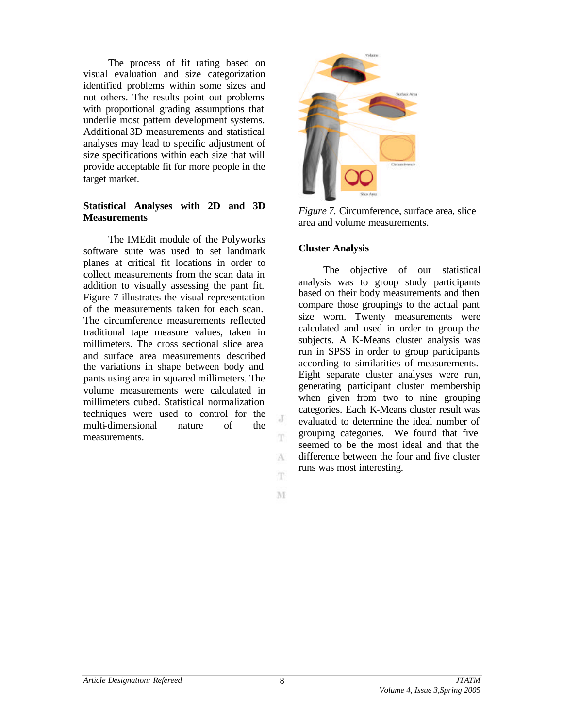The process of fit rating based on visual evaluation and size categorization identified problems within some sizes and not others. The results point out problems with proportional grading assumptions that underlie most pattern development systems. Additional 3D measurements and statistical analyses may lead to specific adjustment of size specifications within each size that will provide acceptable fit for more people in the target market.

### **Statistical Analyses with 2D and 3D Measurements**

The IMEdit module of the Polyworks software suite was used to set landmark planes at critical fit locations in order to collect measurements from the scan data in addition to visually assessing the pant fit. Figure 7 illustrates the visual representation of the measurements taken for each scan. The circumference measurements reflected traditional tape measure values, taken in millimeters. The cross sectional slice area and surface area measurements described the variations in shape between body and pants using area in squared millimeters. The volume measurements were calculated in millimeters cubed. Statistical normalization techniques were used to control for the multi-dimensional nature of the measurements.



*Figure 7.* Circumference, surface area, slice area and volume measurements.

#### **Cluster Analysis**

The objective of our statistical analysis was to group study participants based on their body measurements and then compare those groupings to the actual pant size worn. Twenty measurements were calculated and used in order to group the subjects. A K-Means cluster analysis was run in SPSS in order to group participants according to similarities of measurements. Eight separate cluster analyses were run, generating participant cluster membership when given from two to nine grouping categories. Each K-Means cluster result was evaluated to determine the ideal number of grouping categories. We found that five seemed to be the most ideal and that the difference between the four and five cluster runs was most interesting.

 $_{\rm d}$ m.

A m.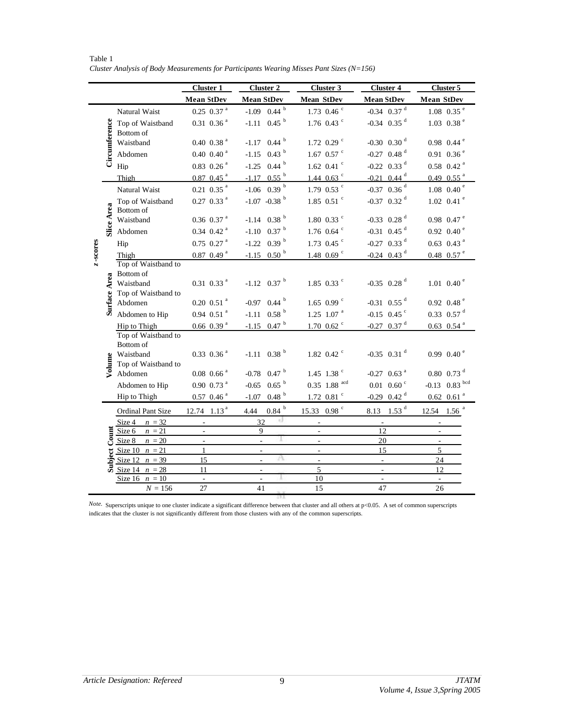|          |               |                                                                                                                                                                                                                                | <b>Cluster 1</b>                           | <b>Cluster 2</b>               | Cluster 3                | <b>Cluster 4</b>               | Cluster 5                          |
|----------|---------------|--------------------------------------------------------------------------------------------------------------------------------------------------------------------------------------------------------------------------------|--------------------------------------------|--------------------------------|--------------------------|--------------------------------|------------------------------------|
|          |               |                                                                                                                                                                                                                                | Mean StDev                                 | <b>Mean StDev</b>              | <b>Mean StDev</b>        | <b>Mean StDev</b>              | <b>Mean StDev</b>                  |
| z-scores | Circumference | Natural Waist                                                                                                                                                                                                                  | $0.25$ $0.37$ <sup>a</sup>                 | $-1.09$ 0.44 $^{\rm b}$        | $1.73$ 0.46 $\degree$    | $-0.34$ 0.37 $^d$              | $1.08$ 0.35 $^{\circ}$             |
|          |               | Top of Waistband<br>Bottom of                                                                                                                                                                                                  | $0.31$ $0.36$ <sup>a</sup>                 | $-1.11$ 0.45 $^{\rm b}$        | 1.76 $0.43$ °            | $-0.34$ 0.35 $^d$              | 1.03 0.38 $^{\circ}$               |
|          |               | Waistband                                                                                                                                                                                                                      | 0.40~0.38 <sup>a</sup>                     | $-1.17$ 0.44 $^{\rm b}$        | 1.72 0.29 $\degree$      | $-0.30$ 0.30 $^d$              | $0.98$ 0.44 $^{\circ}$             |
|          |               | Abdomen                                                                                                                                                                                                                        | 0.40~0.40 <sup>a</sup>                     | $-1.15$ 0.43 $^{\rm b}$        | 1.67 0.57 $\degree$      | $-0.27$ 0.48 <sup>d</sup>      | $0.91$ $0.36$ <sup>e</sup>         |
|          |               | Hip                                                                                                                                                                                                                            | $0.83$ $0.26$ <sup>a</sup>                 | $-1.25$ 0.44 $^{\rm b}$        | 1.62 0.41 $\degree$      | $-0.22$ 0.33 <sup>d</sup>      | $0.58$ 0.42 <sup>a</sup>           |
|          |               | Thigh                                                                                                                                                                                                                          | $0.87$ 0.45 <sup>a</sup>                   | $-1.17$ 0.55 <sup>b</sup>      | 1.44 $0.63$ °            | $-0.21$ 0.44 <sup>d</sup>      | $0.49~0.55$ <sup>a</sup>           |
|          |               | Natural Waist                                                                                                                                                                                                                  | $0.21\;$ $0.35\;^\mathrm{a}$               | $-1.06$ 0.39 $^{\rm b}$        | 1.79 0.53 $\degree$      | $-0.37$ 0.36 <sup>d</sup>      | $1.08$ 0.40 <sup>e</sup>           |
|          |               | Top of Waistband<br>Bottom of                                                                                                                                                                                                  | $0.27~0.33$ <sup>a</sup>                   | $-1.07 -0.38$ <sup>b</sup>     | 1.85 0.51 $\degree$      | $-0.37$ 0.32 <sup>d</sup>      | $1.02 \ 0.41$ <sup>e</sup>         |
|          | Slice Area    | Waistband                                                                                                                                                                                                                      | $0.36$ $0.37$ <sup>a</sup>                 | $-1.14$ 0.38 $^{\rm b}$        | $1.80~0.33$ °            | $-0.33$ 0.28 <sup>d</sup>      | $0.98$ 0.47 <sup>e</sup>           |
|          |               | Abdomen                                                                                                                                                                                                                        | $0.34$ $0.42$ <sup>a</sup>                 | 0.37 h<br>$-1.10$              | 1.76 $0.64$ °            | $-0.31$ 0.45 <sup>d</sup>      | $0.92 \ 0.40 \ ^{\circ}$           |
|          |               | Hip                                                                                                                                                                                                                            | $0.75$ $0.27$ <sup>a</sup>                 | 0.39 <sup>b</sup><br>$-1.22$   | 1.73 0.45 $\degree$      | $-0.27$ 0.33 <sup>d</sup>      | $0.63$ $0.43$ <sup>a</sup>         |
|          |               | Thigh                                                                                                                                                                                                                          | 0.87~0.49~ <sup>a</sup>                    | $-1.15$ 0.50 $^{\rm b}$        | 1.48 0.69 $\degree$      | $-0.24$ 0.43 <sup>d</sup>      | $0.48$ 0.57 $^{\circ}$             |
|          |               | Top of Waistband to                                                                                                                                                                                                            |                                            |                                |                          |                                |                                    |
|          |               | Bottom of<br>Waistband                                                                                                                                                                                                         | $0.31 \ 0.33$ <sup>a</sup>                 | $-1.12$ 0.37 $^{\rm b}$        | 1.85 0.33 $\degree$      | $-0.35$ 0.28 <sup>d</sup>      | 1.01 0.40 $^{\circ}$               |
|          | Surface Area  | Top of Waistband to<br>Abdomen                                                                                                                                                                                                 | $0.20~0.51$ <sup>a</sup>                   | $-0.97$ 0.44 $^{\rm b}$        | 1.65 0.99 $\degree$      | $-0.31$ 0.55 <sup>d</sup>      | $0.92~0.48$ <sup>e</sup>           |
|          |               | Abdomen to Hip                                                                                                                                                                                                                 | $0.94$ $0.51$ <sup>a</sup>                 | $-1.11$ 0.58 $^{\rm b}$        | $1.25$ 1.07 <sup>a</sup> | $-0.15$ 0.45 <sup>c</sup>      | $0.33$ $0.57$ <sup>d</sup>         |
|          |               | Hip to Thigh                                                                                                                                                                                                                   | 0.66~0.39 <sup>a</sup>                     | $-1.15$ 0.47 $^{\rm b}$        | $1.70 \, 0.62$ °         | $-0.27$ 0.37 <sup>d</sup>      | $0.63$ $0.54$ <sup>a</sup>         |
|          |               | Top of Waistband to<br>Bottom of<br>Waistband                                                                                                                                                                                  | $0.33$ $0.36$ <sup>a</sup>                 | $-1.11$ 0.38 $^{\rm b}$        | 1.82 0.42 $\degree$      | $-0.35$ 0.31 <sup>d</sup>      | 0.99 0.40 $^{\circ}$               |
|          | Volume        | Top of Waistband to<br>Abdomen                                                                                                                                                                                                 | $0.08$ 0.66 <sup>a</sup>                   | 0.47 <sup>b</sup><br>$-0.78$   | 1.45 1.38 $^{\circ}$     | $-0.27$ 0.63 <sup>a</sup>      | $0.80~0.73$ <sup>d</sup>           |
|          |               | Abdomen to Hip                                                                                                                                                                                                                 | $0.90~0.73$ <sup>a</sup>                   | 0.65 <sup>b</sup><br>$-0.65$   | $0.35$ 1.88 $^{acd}$     | $0.01$ 0.60 $\degree$          | $-0.13$ 0.83 $^{bcd}$              |
|          |               | Hip to Thigh                                                                                                                                                                                                                   | $0.57~0.46~^a$                             | 0.48 <sup>b</sup><br>$-1.07$   | $1.72$ 0.81 $\degree$    | $-0.29$ 0.42 <sup>d</sup>      | $0.62\;$ 0.61 $^{\mathrm{a}}$      |
|          |               | <b>Ordinal Pant Size</b>                                                                                                                                                                                                       | 12.74 $1.13a$                              | $0.84\ ^{\rm b}$<br>4.44       | 15.33 0.98 °             | 8.13 1.53 $^d$                 | $1.56$ <sup>a</sup><br>12.54       |
|          |               | Size 4<br>$n = 32$                                                                                                                                                                                                             | $\overline{\phantom{a}}$                   | x)<br>32                       | $\overline{\phantom{0}}$ | $\overline{\phantom{a}}$<br>12 | $\overline{\phantom{a}}$           |
|          |               | $\begin{array}{r}\n\frac{\text{size } 4}{\text{Size } 6} \\ \frac{\text{Size } 6}{\text{Size } 10} \\ \frac{\text{Size } 10}{\text{Size } 12} \\ \frac{\text{Size } 12}{\text{Size } 14}\n\end{array}$<br>$n = 21$<br>$n = 20$ | $\overline{\phantom{a}}$<br>$\overline{a}$ | 9                              | $\frac{1}{2}$            | 20                             | $\sim$<br>$\overline{\phantom{a}}$ |
|          |               | Size 10 $n = 21$                                                                                                                                                                                                               | $\mathbf{1}$                               | $\overline{\phantom{a}}$       | $\overline{\phantom{a}}$ | 15                             | 5                                  |
|          |               | Size 12 $n = 39$                                                                                                                                                                                                               | 15                                         | Α<br>÷,                        | ÷                        | $\blacksquare$                 | 24                                 |
|          |               | $n = 28$                                                                                                                                                                                                                       | 11                                         | $\overline{\phantom{a}}$       | 5                        | $\overline{\phantom{a}}$       | 12                                 |
|          |               | $n = 10$<br>Size 16<br>$N = 156$                                                                                                                                                                                               | $\overline{a}$<br>27                       | $\overline{\phantom{a}}$<br>41 | 10<br>15                 | $\Box$<br>47                   | $\omega$<br>26                     |
|          |               |                                                                                                                                                                                                                                |                                            |                                |                          |                                |                                    |

Table 1 *Cluster Analysis of Body Measurements for Participants Wearing Misses Pant Sizes (N=156)*

*Note.* Superscripts unique to one cluster indicate a significant difference between that cluster and all others at p<0.05. A set of common superscripts indicates that the cluster is not significantly different from those clusters with any of the common superscripts.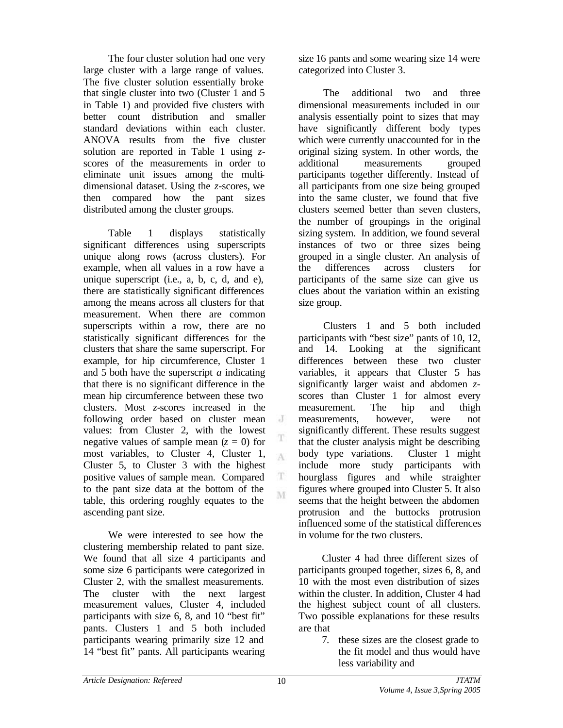The four cluster solution had one very large cluster with a large range of values. The five cluster solution essentially broke that single cluster into two (Cluster 1 and 5 in Table 1) and provided five clusters with better count distribution and smaller standard deviations within each cluster. ANOVA results from the five cluster solution are reported in Table 1 using *z*scores of the measurements in order to eliminate unit issues among the multidimensional dataset. Using the *z*-scores, we then compared how the pant sizes distributed among the cluster groups.

Table 1 displays statistically significant differences using superscripts unique along rows (across clusters). For example, when all values in a row have a unique superscript (i.e., a, b, c, d, and e), there are statistically significant differences among the means across all clusters for that measurement. When there are common superscripts within a row, there are no statistically significant differences for the clusters that share the same superscript. For example, for hip circumference, Cluster 1 and 5 both have the superscript *a* indicating that there is no significant difference in the mean hip circumference between these two clusters. Most *z*-scores increased in the following order based on cluster mean values: from Cluster 2, with the lowest negative values of sample mean  $(z = 0)$  for most variables, to Cluster 4, Cluster 1, Cluster 5, to Cluster 3 with the highest positive values of sample mean. Compared to the pant size data at the bottom of the table, this ordering roughly equates to the ascending pant size.

We were interested to see how the clustering membership related to pant size. We found that all size 4 participants and some size 6 participants were categorized in Cluster 2, with the smallest measurements. The cluster with the next largest measurement values, Cluster 4, included participants with size 6, 8, and 10 "best fit" pants. Clusters 1 and 5 both included participants wearing primarily size 12 and 14 "best fit" pants. All participants wearing

size 16 pants and some wearing size 14 were categorized into Cluster 3.

The additional two and three dimensional measurements included in our analysis essentially point to sizes that may have significantly different body types which were currently unaccounted for in the original sizing system. In other words, the additional measurements grouped participants together differently. Instead of all participants from one size being grouped into the same cluster, we found that five clusters seemed better than seven clusters, the number of groupings in the original sizing system. In addition, we found several instances of two or three sizes being grouped in a single cluster. An analysis of the differences across clusters for participants of the same size can give us clues about the variation within an existing size group.

Clusters 1 and 5 both included participants with "best size" pants of 10, 12, and 14. Looking at the significant differences between these two cluster variables, it appears that Cluster 5 has significantly larger waist and abdomen *z*scores than Cluster 1 for almost every measurement. The hip and thigh measurements, however, were not significantly different. These results suggest that the cluster analysis might be describing body type variations. Cluster 1 might include more study participants with hourglass figures and while straighter figures where grouped into Cluster 5. It also seems that the height between the abdomen protrusion and the buttocks protrusion influenced some of the statistical differences in volume for the two clusters.

Cluster 4 had three different sizes of participants grouped together, sizes 6, 8, and 10 with the most even distribution of sizes within the cluster. In addition, Cluster 4 had the highest subject count of all clusters. Two possible explanations for these results are that

> 7. these sizes are the closest grade to the fit model and thus would have less variability and

 $\cdot$ 

T A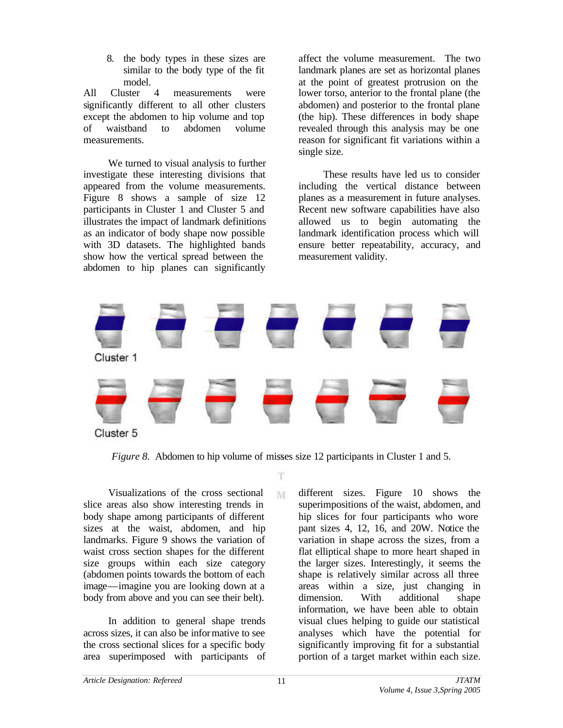8. the body types in these sizes are similar to the body type of the fit model.

All Cluster 4 measurements were significantly different to all other clusters except the abdomen to hip volume and top of waistband to abdomen volume measurements.

We turned to visual analysis to further investigate these interesting divisions that appeared from the volume measurements. Figure 8 shows a sample of size 12 participants in Cluster 1 and Cluster 5 and illustrates the impact of landmark definitions as an indicator of body shape now possible with 3D datasets. The highlighted bands show how the vertical spread between the abdomen to hip planes can significantly

affect the volume measurement. The two landmark planes are set as horizontal planes at the point of greatest protrusion on the lower torso, anterior to the frontal plane (the abdomen) and posterior to the frontal plane (the hip). These differences in body shape revealed through this analysis may be one reason for significant fit variations within a single size.

These results have led us to consider including the vertical distance between planes as a measurement in future analyses. Recent new software capabilities have also allowed us to begin automating the landmark identification process which will ensure better repeatability, accuracy, and measurement validity.



*Figure 8.* Abdomen to hip volume of misses size 12 participants in Cluster 1 and 5.

T.

M

Visualizations of the cross sectional slice areas also show interesting trends in body shape among participants of different sizes at the waist, abdomen, and hip landmarks. Figure 9 shows the variation of waist cross section shapes for the different size groups within each size category (abdomen points towards the bottom of each image—imagine you are looking down at a body from above and you can see their belt).

In addition to general shape trends across sizes, it can also be informative to see the cross sectional slices for a specific body area superimposed with participants of different sizes. Figure 10 shows the superimpositions of the waist, abdomen, and hip slices for four participants who wore pant sizes 4, 12, 16, and 20W. Notice the variation in shape across the sizes, from a flat elliptical shape to more heart shaped in the larger sizes. Interestingly, it seems the shape is relatively similar across all three areas within a size, just changing in dimension. With additional shape information, we have been able to obtain visual clues helping to guide our statistical analyses which have the potential for significantly improving fit for a substantial portion of a target market within each size.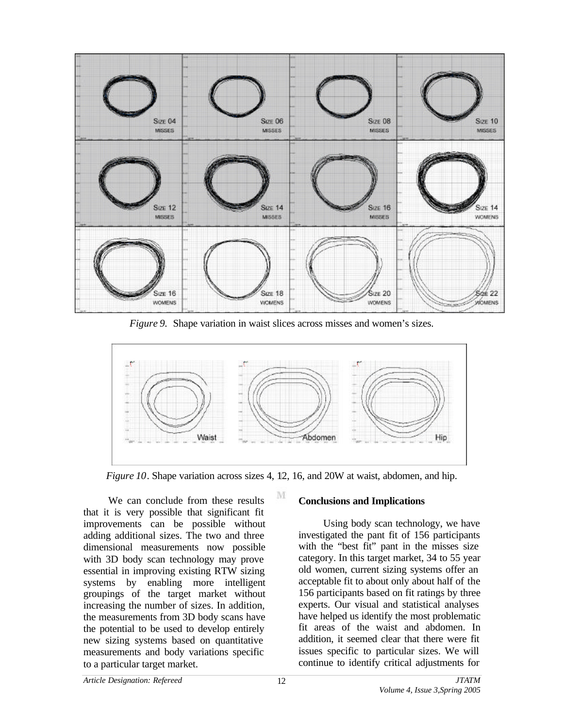

*Figure 9.* Shape variation in waist slices across misses and women's sizes.



*Figure 10*. Shape variation across sizes 4, 12, 16, and 20W at waist, abdomen, and hip.

М

We can conclude from these results that it is very possible that significant fit improvements can be possible without adding additional sizes. The two and three dimensional measurements now possible with 3D body scan technology may prove essential in improving existing RTW sizing systems by enabling more intelligent groupings of the target market without increasing the number of sizes. In addition, the measurements from 3D body scans have the potential to be used to develop entirely new sizing systems based on quantitative measurements and body variations specific to a particular target market.

### **Conclusions and Implications**

Using body scan technology, we have investigated the pant fit of 156 participants with the "best fit" pant in the misses size category. In this target market, 34 to 55 year old women, current sizing systems offer an acceptable fit to about only about half of the 156 participants based on fit ratings by three experts. Our visual and statistical analyses have helped us identify the most problematic fit areas of the waist and abdomen. In addition, it seemed clear that there were fit issues specific to particular sizes. We will continue to identify critical adjustments for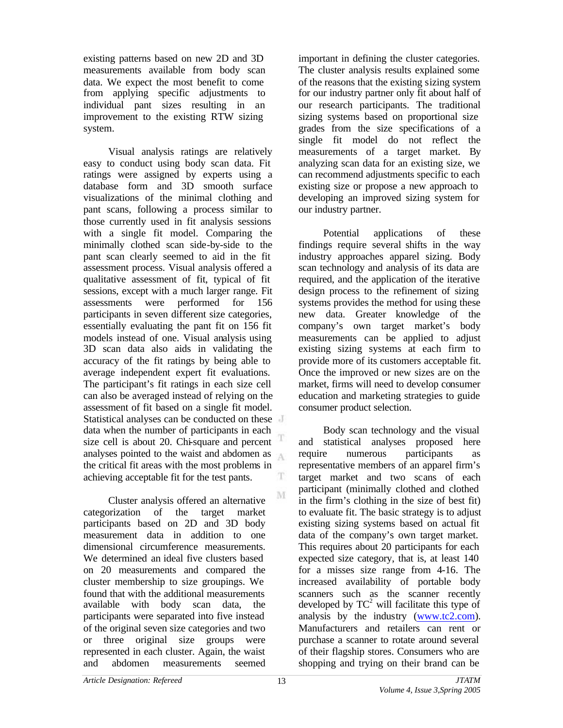existing patterns based on new 2D and 3D measurements available from body scan data. We expect the most benefit to come from applying specific adjustments to individual pant sizes resulting in an improvement to the existing RTW sizing system.

Visual analysis ratings are relatively easy to conduct using body scan data. Fit ratings were assigned by experts using a database form and 3D smooth surface visualizations of the minimal clothing and pant scans, following a process similar to those currently used in fit analysis sessions with a single fit model. Comparing the minimally clothed scan side-by-side to the pant scan clearly seemed to aid in the fit assessment process. Visual analysis offered a qualitative assessment of fit, typical of fit sessions, except with a much larger range. Fit assessments were performed for 156 participants in seven different size categories, essentially evaluating the pant fit on 156 fit models instead of one. Visual analysis using 3D scan data also aids in validating the accuracy of the fit ratings by being able to average independent expert fit evaluations. The participant's fit ratings in each size cell can also be averaged instead of relying on the assessment of fit based on a single fit model. Statistical analyses can be conducted on these data when the number of participants in each size cell is about 20. Chi-square and percent analyses pointed to the waist and abdomen as the critical fit areas with the most problems in achieving acceptable fit for the test pants. T

Cluster analysis offered an alternative categorization of the target market participants based on 2D and 3D body measurement data in addition to one dimensional circumference measurements. We determined an ideal five clusters based on 20 measurements and compared the cluster membership to size groupings. We found that with the additional measurements available with body scan data, the participants were separated into five instead of the original seven size categories and two or three original size groups were represented in each cluster. Again, the waist and abdomen measurements seemed

important in defining the cluster categories. The cluster analysis results explained some of the reasons that the existing sizing system for our industry partner only fit about half of our research participants. The traditional sizing systems based on proportional size grades from the size specifications of a single fit model do not reflect the measurements of a target market. By analyzing scan data for an existing size, we can recommend adjustments specific to each existing size or propose a new approach to developing an improved sizing system for our industry partner.

Potential applications of these findings require several shifts in the way industry approaches apparel sizing. Body scan technology and analysis of its data are required, and the application of the iterative design process to the refinement of sizing systems provides the method for using these new data. Greater knowledge of the company's own target market's body measurements can be applied to adjust existing sizing systems at each firm to provide more of its customers acceptable fit. Once the improved or new sizes are on the market, firms will need to develop consumer education and marketing strategies to guide consumer product selection.

Body scan technology and the visual and statistical analyses proposed here require numerous participants as representative members of an apparel firm's target market and two scans of each participant (minimally clothed and clothed in the firm's clothing in the size of best fit) to evaluate fit. The basic strategy is to adjust existing sizing systems based on actual fit data of the company's own target market. This requires about 20 participants for each expected size category, that is, at least 140 for a misses size range from 4-16. The increased availability of portable body scanners such as the scanner recently developed by  $TC^2$  will facilitate this type of analysis by the industry (www.tc2.com). Manufacturers and retailers can rent or purchase a scanner to rotate around several of their flagship stores. Consumers who are shopping and trying on their brand can be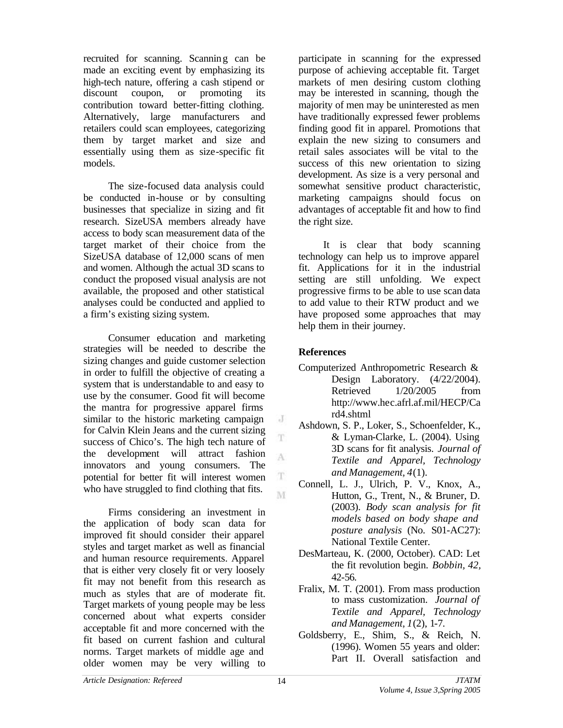recruited for scanning. Scanning can be made an exciting event by emphasizing its high-tech nature, offering a cash stipend or discount coupon, or promoting its contribution toward better-fitting clothing. Alternatively, large manufacturers and retailers could scan employees, categorizing them by target market and size and essentially using them as size-specific fit models.

The size-focused data analysis could be conducted in-house or by consulting businesses that specialize in sizing and fit research. SizeUSA members already have access to body scan measurement data of the target market of their choice from the SizeUSA database of 12,000 scans of men and women. Although the actual 3D scans to conduct the proposed visual analysis are not available, the proposed and other statistical analyses could be conducted and applied to a firm's existing sizing system.

Consumer education and marketing strategies will be needed to describe the sizing changes and guide customer selection in order to fulfill the objective of creating a system that is understandable to and easy to use by the consumer. Good fit will become the mantra for progressive apparel firms similar to the historic marketing campaign for Calvin Klein Jeans and the current sizing success of Chico's. The high tech nature of the development will attract fashion innovators and young consumers. The potential for better fit will interest women who have struggled to find clothing that fits.

Firms considering an investment in the application of body scan data for improved fit should consider their apparel styles and target market as well as financial and human resource requirements. Apparel that is either very closely fit or very loosely fit may not benefit from this research as much as styles that are of moderate fit. Target markets of young people may be less concerned about what experts consider acceptable fit and more concerned with the fit based on current fashion and cultural norms. Target markets of middle age and older women may be very willing to

participate in scanning for the expressed purpose of achieving acceptable fit. Target markets of men desiring custom clothing may be interested in scanning, though the majority of men may be uninterested as men have traditionally expressed fewer problems finding good fit in apparel. Promotions that explain the new sizing to consumers and retail sales associates will be vital to the success of this new orientation to sizing development. As size is a very personal and somewhat sensitive product characteristic, marketing campaigns should focus on advantages of acceptable fit and how to find the right size.

It is clear that body scanning technology can help us to improve apparel fit. Applications for it in the industrial setting are still unfolding. We expect progressive firms to be able to use scan data to add value to their RTW product and we have proposed some approaches that may help them in their journey.

# **References**

- Computerized Anthropometric Research & Design Laboratory. (4/22/2004). Retrieved  $1/20/2005$  from <http://www.hec.afrl.af.mil/HECP/Ca> rd4.shtml
- Ashdown, S. P., Loker, S., Schoenfelder, K., & Lyman-Clarke, L. (2004). Using 3D scans for fit analysis. *Journal of Textile and Apparel, Technology and Management, 4*(1).
- Connell, L. J., Ulrich, P. V., Knox, A., Hutton, G., Trent, N., & Bruner, D. (2003). *Body scan analysis for fit models based on body shape and posture analysis* (No. S01-AC27): National Textile Center.
- DesMarteau, K. (2000, October). CAD: Let the fit revolution begin. *Bobbin, 42,* 42-56.
- Fralix, M. T. (2001). From mass production to mass customization. *Journal of Textile and Apparel, Technology and Management, 1*(2), 1-7.
- Goldsberry, E., Shim, S., & Reich, N. (1996). Women 55 years and older: Part II. Overall satisfaction and

J

T A